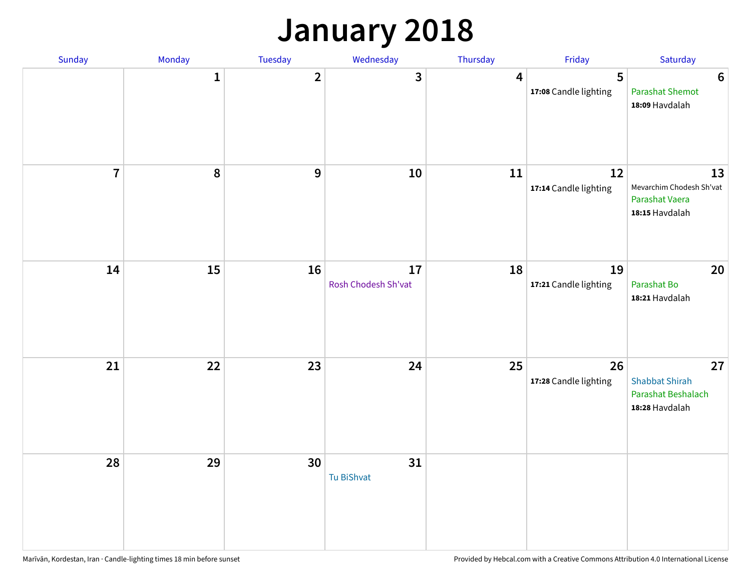## **January 2018**

| Sunday         | Monday       | Tuesday        | Wednesday                 | Thursday | Friday                      | Saturday                                                            |
|----------------|--------------|----------------|---------------------------|----------|-----------------------------|---------------------------------------------------------------------|
|                | $\mathbf{1}$ | $\overline{2}$ | 3                         | 4        | 5<br>17:08 Candle lighting  | $6\phantom{1}6$<br><b>Parashat Shemot</b><br>18:09 Havdalah         |
| $\overline{7}$ | 8            | $\overline{9}$ | 10                        | 11       | 12<br>17:14 Candle lighting | 13<br>Mevarchim Chodesh Sh'vat<br>Parashat Vaera<br>18:15 Havdalah  |
| 14             | 15           | 16             | 17<br>Rosh Chodesh Sh'vat | 18       | 19<br>17:21 Candle lighting | 20<br>Parashat Bo<br>18:21 Havdalah                                 |
| 21             | 22           | 23             | 24                        | 25       | 26<br>17:28 Candle lighting | 27<br><b>Shabbat Shirah</b><br>Parashat Beshalach<br>18:28 Havdalah |
| 28             | 29           | 30             | 31<br><b>Tu BiShvat</b>   |          |                             |                                                                     |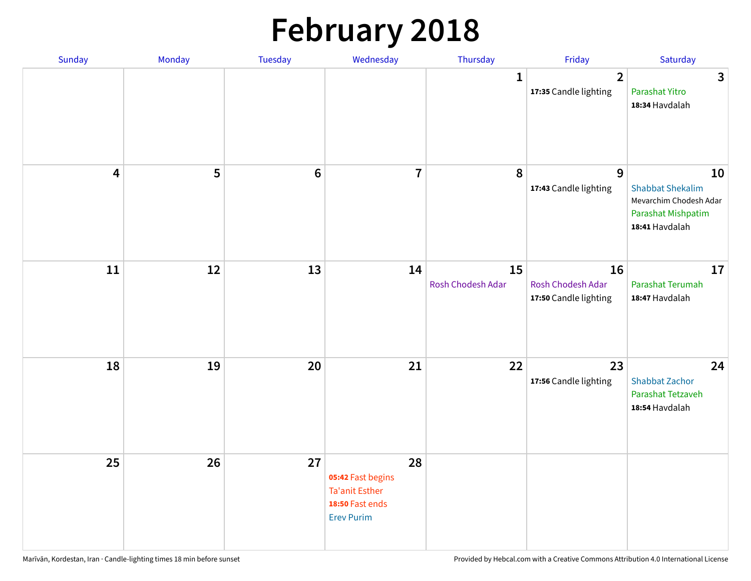## **February 2018**

| Sunday                  | Monday | Tuesday          | Wednesday                                                                                | Thursday                | Friday                                           | Saturday                                                                                        |
|-------------------------|--------|------------------|------------------------------------------------------------------------------------------|-------------------------|--------------------------------------------------|-------------------------------------------------------------------------------------------------|
|                         |        |                  |                                                                                          | $\mathbf{1}$            | $\overline{2}$<br>17:35 Candle lighting          | $\mathbf{3}$<br>Parashat Yitro<br>18:34 Havdalah                                                |
| $\overline{\mathbf{4}}$ | 5      | $\boldsymbol{6}$ | $\overline{7}$                                                                           | 8                       | $\overline{9}$<br>17:43 Candle lighting          | 10<br><b>Shabbat Shekalim</b><br>Mevarchim Chodesh Adar<br>Parashat Mishpatim<br>18:41 Havdalah |
| 11                      | 12     | 13               | 14                                                                                       | 15<br>Rosh Chodesh Adar | 16<br>Rosh Chodesh Adar<br>17:50 Candle lighting | 17<br><b>Parashat Terumah</b><br>18:47 Havdalah                                                 |
| 18                      | 19     | 20               | 21                                                                                       | 22                      | 23<br>17:56 Candle lighting                      | 24<br><b>Shabbat Zachor</b><br>Parashat Tetzaveh<br>18:54 Havdalah                              |
| 25                      | 26     | 27               | 28<br>05:42 Fast begins<br><b>Ta'anit Esther</b><br>18:50 Fast ends<br><b>Erev Purim</b> |                         |                                                  |                                                                                                 |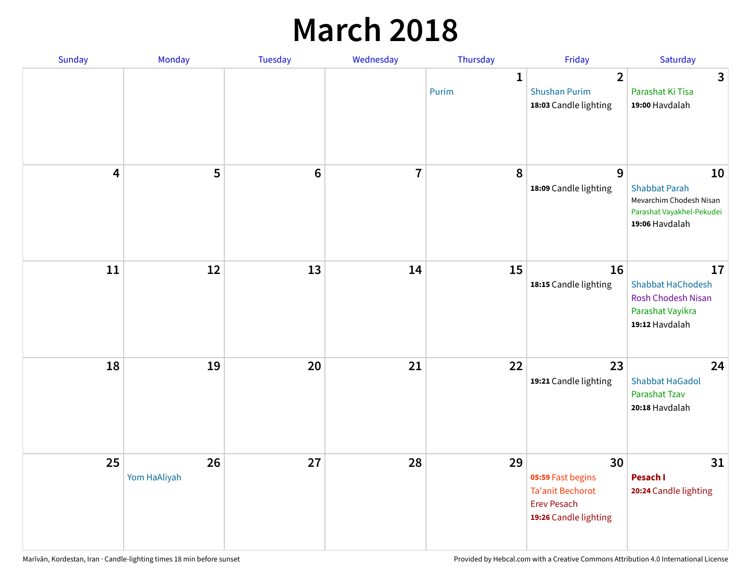### **March 2018**

| Sunday | Monday             | <b>Tuesday</b> | Wednesday      | Thursday   | Friday                                                                                            | Saturday                                                                                             |
|--------|--------------------|----------------|----------------|------------|---------------------------------------------------------------------------------------------------|------------------------------------------------------------------------------------------------------|
|        |                    |                |                | 1<br>Purim | $\overline{2}$<br><b>Shushan Purim</b><br>18:03 Candle lighting                                   | 3<br>Parashat Ki Tisa<br>19:00 Havdalah                                                              |
| 4      | 5                  | $\bf 6$        | $\overline{7}$ | 8          | 9<br>18:09 Candle lighting                                                                        | 10<br><b>Shabbat Parah</b><br>Mevarchim Chodesh Nisan<br>Parashat Vayakhel-Pekudei<br>19:06 Havdalah |
| 11     | 12                 | 13             | 14             | 15         | 16<br>18:15 Candle lighting                                                                       | 17<br><b>Shabbat HaChodesh</b><br><b>Rosh Chodesh Nisan</b><br>Parashat Vayikra<br>19:12 Havdalah    |
| 18     | 19                 | 20             | 21             | 22         | 23<br>19:21 Candle lighting                                                                       | 24<br><b>Shabbat HaGadol</b><br>Parashat Tzav<br>20:18 Havdalah                                      |
| 25     | 26<br>Yom HaAliyah | 27             | 28             | 29         | 30<br>05:59 Fast begins<br><b>Ta'anit Bechorot</b><br><b>Erev Pesach</b><br>19:26 Candle lighting | 31<br><b>Pesach I</b><br>20:24 Candle lighting                                                       |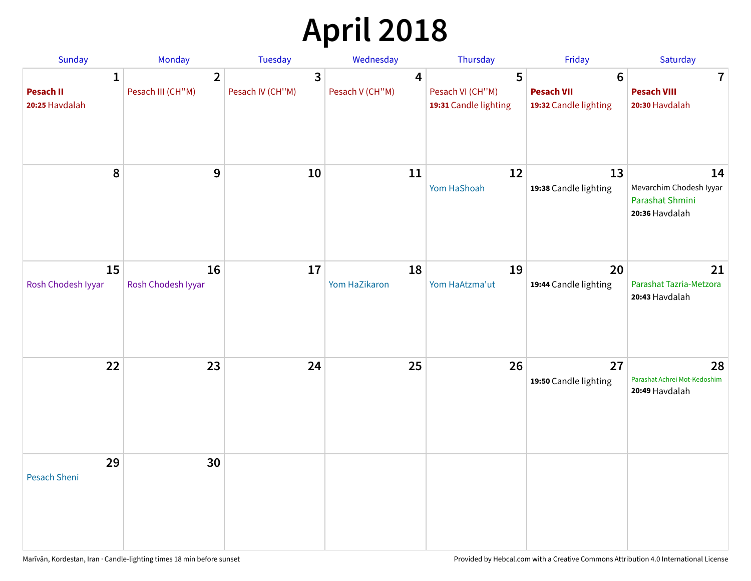# **April 2018**

| Sunday                                  | Monday                              | Tuesday                                     | Wednesday                           | Thursday                                       | Friday                                                        | Saturday                                                           |
|-----------------------------------------|-------------------------------------|---------------------------------------------|-------------------------------------|------------------------------------------------|---------------------------------------------------------------|--------------------------------------------------------------------|
| 1<br><b>Pesach II</b><br>20:25 Havdalah | $\overline{2}$<br>Pesach III (CH"M) | $\overline{\mathbf{3}}$<br>Pesach IV (CH"M) | $\boldsymbol{4}$<br>Pesach V (CH"M) | 5<br>Pesach VI (CH"M)<br>19:31 Candle lighting | $6\phantom{1}6$<br><b>Pesach VII</b><br>19:32 Candle lighting | $\mathbf 7$<br><b>Pesach VIII</b><br>20:30 Havdalah                |
| ${\bf 8}$                               | $9\,$                               | 10                                          | 11                                  | 12<br>Yom HaShoah                              | 13<br>19:38 Candle lighting                                   | 14<br>Mevarchim Chodesh Iyyar<br>Parashat Shmini<br>20:36 Havdalah |
| 15<br>Rosh Chodesh Iyyar                | 16<br>Rosh Chodesh Iyyar            | 17                                          | 18<br>Yom HaZikaron                 | 19<br>Yom HaAtzma'ut                           | 20<br>19:44 Candle lighting                                   | 21<br>Parashat Tazria-Metzora<br>20:43 Havdalah                    |
| 22                                      | 23                                  | 24                                          | 25                                  | 26                                             | 27<br>19:50 Candle lighting                                   | 28<br>Parashat Achrei Mot-Kedoshim<br>20:49 Havdalah               |
| 29<br><b>Pesach Sheni</b>               | 30                                  |                                             |                                     |                                                |                                                               |                                                                    |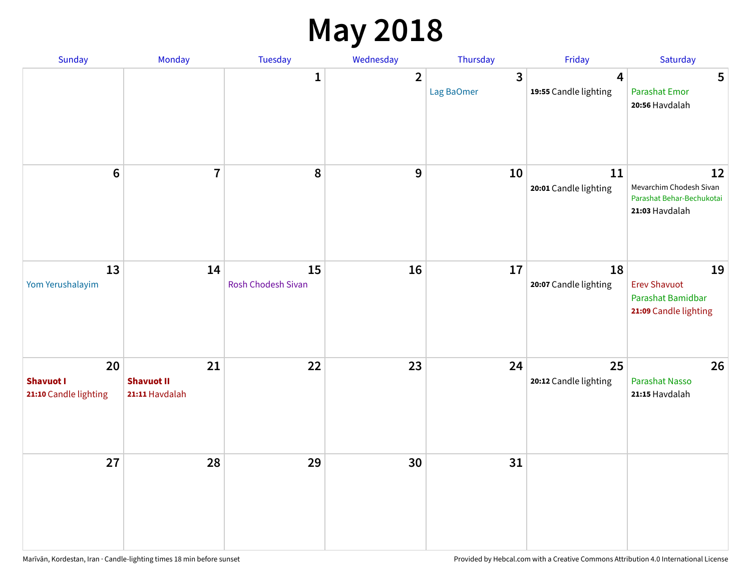## **May 2018**

| Sunday                                          | Monday                                    | Tuesday                  | Wednesday      | Thursday        | Friday                      | Saturday                                                                     |
|-------------------------------------------------|-------------------------------------------|--------------------------|----------------|-----------------|-----------------------------|------------------------------------------------------------------------------|
|                                                 |                                           | $\mathbf{1}$             | $\overline{2}$ | 3<br>Lag BaOmer | 4<br>19:55 Candle lighting  | 5<br><b>Parashat Emor</b><br>20:56 Havdalah                                  |
| $6\phantom{a}$                                  | $\overline{7}$                            | $\pmb{8}$                | 9              | 10              | 11<br>20:01 Candle lighting | 12<br>Mevarchim Chodesh Sivan<br>Parashat Behar-Bechukotai<br>21:03 Havdalah |
| 13<br>Yom Yerushalayim                          | 14                                        | 15<br>Rosh Chodesh Sivan | 16             | 17              | 18<br>20:07 Candle lighting | 19<br><b>Erev Shavuot</b><br>Parashat Bamidbar<br>21:09 Candle lighting      |
| 20<br><b>Shavuot I</b><br>21:10 Candle lighting | 21<br><b>Shavuot II</b><br>21:11 Havdalah | 22                       | 23             | 24              | 25<br>20:12 Candle lighting | 26<br><b>Parashat Nasso</b><br>21:15 Havdalah                                |
| 27                                              | 28                                        | 29                       | 30             | 31              |                             |                                                                              |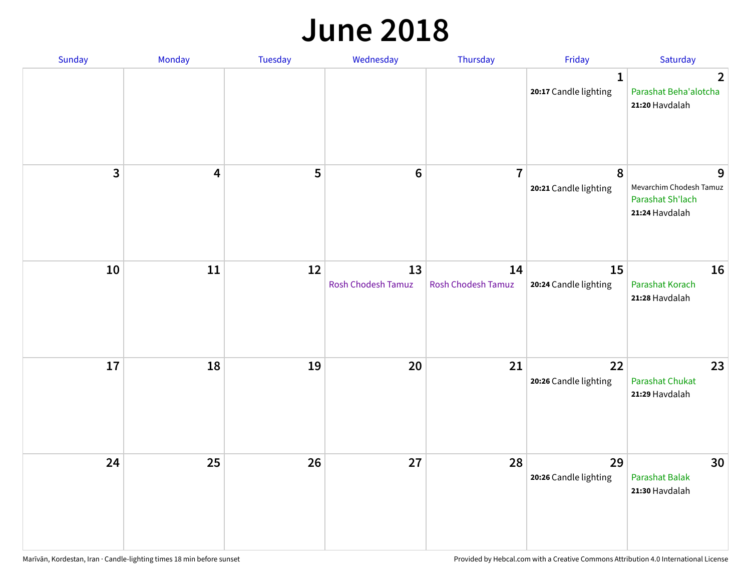#### **June 2018**

| Sunday                  | Monday | Tuesday | Wednesday                | Thursday                        | Friday                                | Saturday                                                           |
|-------------------------|--------|---------|--------------------------|---------------------------------|---------------------------------------|--------------------------------------------------------------------|
|                         |        |         |                          |                                 | $\mathbf{1}$<br>20:17 Candle lighting | $\overline{2}$<br>Parashat Beha'alotcha<br>21:20 Havdalah          |
| $\overline{\mathbf{3}}$ | 4      | 5       | $\bf 6$                  | $\overline{7}$                  | 8<br>20:21 Candle lighting            | 9<br>Mevarchim Chodesh Tamuz<br>Parashat Sh'lach<br>21:24 Havdalah |
| 10                      | $11\,$ | 12      | 13<br>Rosh Chodesh Tamuz | 14<br><b>Rosh Chodesh Tamuz</b> | 15<br>20:24 Candle lighting           | 16<br>Parashat Korach<br>21:28 Havdalah                            |
| 17                      | 18     | 19      | 20                       | 21                              | 22<br>20:26 Candle lighting           | 23<br><b>Parashat Chukat</b><br>21:29 Havdalah                     |
| 24                      | 25     | 26      | 27                       | 28                              | 29<br>20:26 Candle lighting           | 30<br>Parashat Balak<br>21:30 Havdalah                             |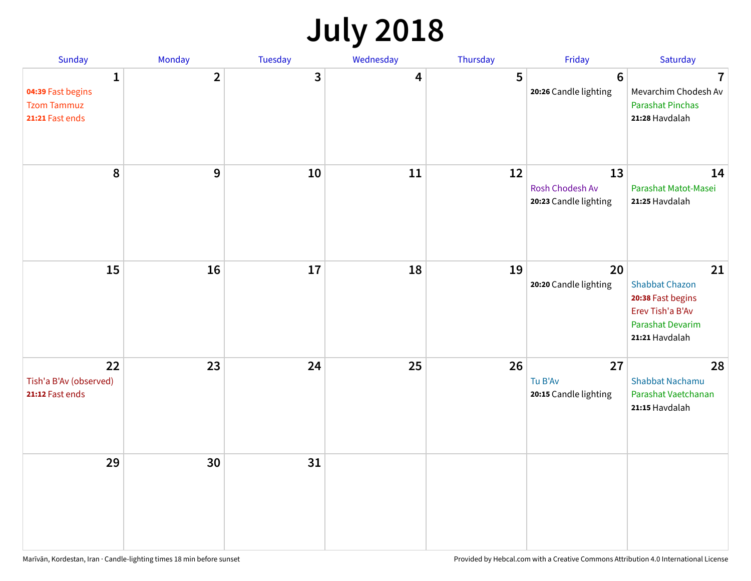## **July 2018**

| Sunday                                                          | Monday         | Tuesday      | Wednesday | Thursday | Friday                                         | Saturday                                                                                                          |
|-----------------------------------------------------------------|----------------|--------------|-----------|----------|------------------------------------------------|-------------------------------------------------------------------------------------------------------------------|
| 1<br>04:39 Fast begins<br><b>Tzom Tammuz</b><br>21:21 Fast ends | $\overline{2}$ | $\mathbf{3}$ | 4         | 5        | $6\phantom{1}6$<br>20:26 Candle lighting       | $\overline{7}$<br>Mevarchim Chodesh Av<br><b>Parashat Pinchas</b><br>21:28 Havdalah                               |
| 8                                                               | 9              | 10           | 11        | 12       | 13<br>Rosh Chodesh Av<br>20:23 Candle lighting | 14<br>Parashat Matot-Masei<br>21:25 Havdalah                                                                      |
| 15                                                              | 16             | 17           | 18        | 19       | 20<br>20:20 Candle lighting                    | 21<br><b>Shabbat Chazon</b><br>20:38 Fast begins<br>Erev Tish'a B'Av<br><b>Parashat Devarim</b><br>21:21 Havdalah |
| 22<br>Tish'a B'Av (observed)<br>21:12 Fast ends                 | 23             | 24           | 25        | 26       | 27<br>Tu B'Av<br>20:15 Candle lighting         | 28<br><b>Shabbat Nachamu</b><br>Parashat Vaetchanan<br>21:15 Havdalah                                             |
| 29                                                              | 30             | 31           |           |          |                                                |                                                                                                                   |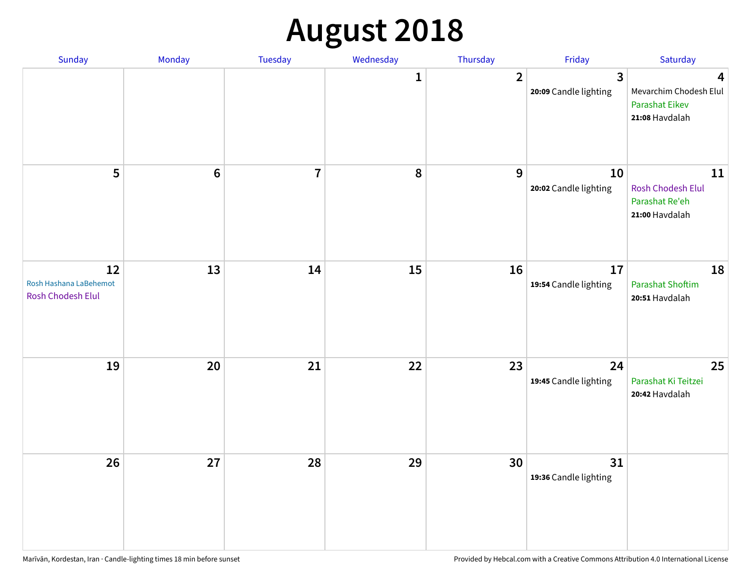## **August 2018**

| Sunday                                            | Monday          | Tuesday        | Wednesday        | Thursday       | Friday                                           | Saturday                                                               |
|---------------------------------------------------|-----------------|----------------|------------------|----------------|--------------------------------------------------|------------------------------------------------------------------------|
|                                                   |                 |                | 1                | $\overline{2}$ | $\overline{\mathbf{3}}$<br>20:09 Candle lighting | 4<br>Mevarchim Chodesh Elul<br><b>Parashat Eikev</b><br>21:08 Havdalah |
| 5                                                 | $6\phantom{1}6$ | $\overline{7}$ | $\boldsymbol{8}$ | $\mathbf{9}$   | 10<br>20:02 Candle lighting                      | 11<br><b>Rosh Chodesh Elul</b><br>Parashat Re'eh<br>21:00 Havdalah     |
| 12<br>Rosh Hashana LaBehemot<br>Rosh Chodesh Elul | 13              | 14             | 15               | 16             | 17<br>19:54 Candle lighting                      | 18<br><b>Parashat Shoftim</b><br>20:51 Havdalah                        |
| 19                                                | 20              | 21             | 22               | 23             | 24<br>19:45 Candle lighting                      | 25<br>Parashat Ki Teitzei<br>20:42 Havdalah                            |
| 26                                                | 27              | 28             | 29               | 30             | 31<br>19:36 Candle lighting                      |                                                                        |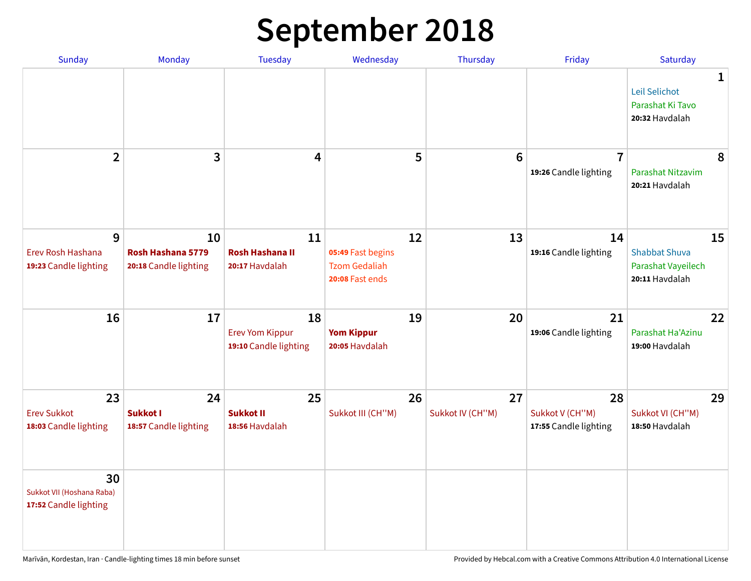## **September 2018**

| <b>Sunday</b>                                            | Monday                                           | <b>Tuesday</b>                                        | Wednesday                                                          | Thursday               | Friday                                         | Saturday                                                           |   |
|----------------------------------------------------------|--------------------------------------------------|-------------------------------------------------------|--------------------------------------------------------------------|------------------------|------------------------------------------------|--------------------------------------------------------------------|---|
|                                                          |                                                  |                                                       |                                                                    |                        |                                                | Leil Selichot<br>Parashat Ki Tavo<br>20:32 Havdalah                | 1 |
| $\overline{2}$                                           | 3                                                | $\overline{\mathbf{4}}$                               | 5                                                                  | $6\phantom{1}6$        | $\overline{1}$<br>19:26 Candle lighting        | Parashat Nitzavim<br>20:21 Havdalah                                | 8 |
| 9<br>Erev Rosh Hashana<br>19:23 Candle lighting          | 10<br>Rosh Hashana 5779<br>20:18 Candle lighting | 11<br><b>Rosh Hashana II</b><br>20:17 Havdalah        | 12<br>05:49 Fast begins<br><b>Tzom Gedaliah</b><br>20:08 Fast ends | 13                     | 14<br>19:16 Candle lighting                    | 15<br><b>Shabbat Shuva</b><br>Parashat Vayeilech<br>20:11 Havdalah |   |
| 16                                                       | 17                                               | 18<br><b>Erev Yom Kippur</b><br>19:10 Candle lighting | 19<br><b>Yom Kippur</b><br>20:05 Havdalah                          | 20                     | 21<br>19:06 Candle lighting                    | 22<br>Parashat Ha'Azinu<br>19:00 Havdalah                          |   |
| 23<br><b>Erev Sukkot</b><br>18:03 Candle lighting        | 24<br>Sukkot I<br>18:57 Candle lighting          | 25<br><b>Sukkot II</b><br>18:56 Havdalah              | 26<br>Sukkot III (CH"M)                                            | 27<br>Sukkot IV (CH"M) | 28<br>Sukkot V (CH"M)<br>17:55 Candle lighting | 29<br>Sukkot VI (CH"M)<br>18:50 Havdalah                           |   |
| 30<br>Sukkot VII (Hoshana Raba)<br>17:52 Candle lighting |                                                  |                                                       |                                                                    |                        |                                                |                                                                    |   |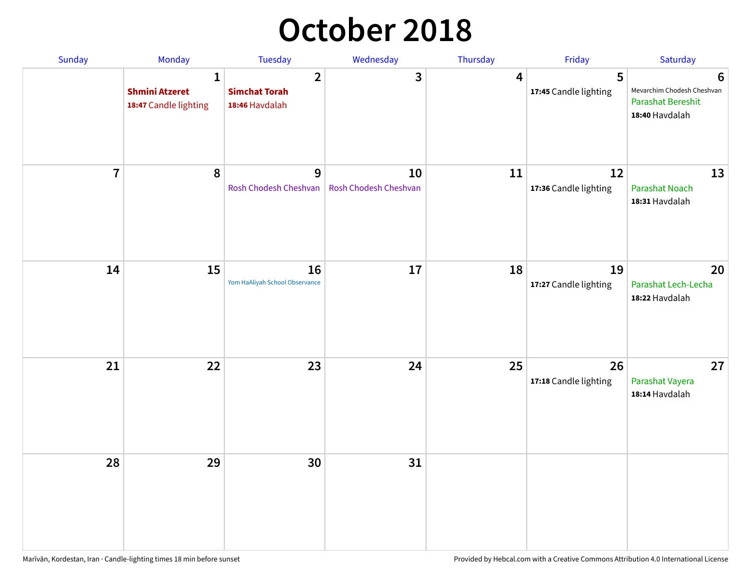## **October 2018**

| Sunday                  | Monday                                                         | Tuesday                                                  | Wednesday                   | Thursday | Friday                      | Saturday                                                                      |
|-------------------------|----------------------------------------------------------------|----------------------------------------------------------|-----------------------------|----------|-----------------------------|-------------------------------------------------------------------------------|
|                         | $\mathbf{1}$<br><b>Shmini Atzeret</b><br>18:47 Candle lighting | $\overline{2}$<br><b>Simchat Torah</b><br>18:46 Havdalah | 3                           | 4        | 5<br>17:45 Candle lighting  | 6<br>Mevarchim Chodesh Cheshvan<br><b>Parashat Bereshit</b><br>18:40 Havdalah |
| $\overline{\mathbf{7}}$ | 8                                                              | 9<br>Rosh Chodesh Cheshvan                               | 10<br>Rosh Chodesh Cheshvan | 11       | 12<br>17:36 Candle lighting | 13<br><b>Parashat Noach</b><br>18:31 Havdalah                                 |
| 14                      | 15                                                             | 16<br>Yom HaAliyah School Observance                     | 17                          | 18       | 19<br>17:27 Candle lighting | 20<br>Parashat Lech-Lecha<br>18:22 Havdalah                                   |
| 21                      | 22                                                             | 23                                                       | 24                          | 25       | 26<br>17:18 Candle lighting | 27<br>Parashat Vayera<br>18:14 Havdalah                                       |
| 28                      | 29                                                             | 30                                                       | 31                          |          |                             |                                                                               |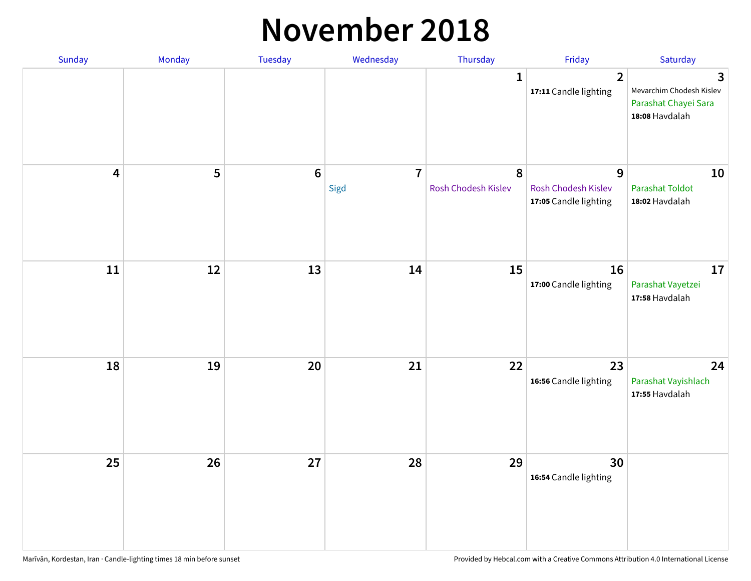#### **November 2018**

| Sunday                  | Monday | Tuesday        | Wednesday              | Thursday                 | Friday                                                   | Saturday                                                                |
|-------------------------|--------|----------------|------------------------|--------------------------|----------------------------------------------------------|-------------------------------------------------------------------------|
|                         |        |                |                        | $\mathbf{1}$             | $\overline{2}$<br>17:11 Candle lighting                  | 3<br>Mevarchim Chodesh Kislev<br>Parashat Chayei Sara<br>18:08 Havdalah |
| $\overline{\mathbf{4}}$ | 5      | $6\phantom{a}$ | $\overline{7}$<br>Sigd | 8<br>Rosh Chodesh Kislev | 9<br><b>Rosh Chodesh Kislev</b><br>17:05 Candle lighting | 10<br><b>Parashat Toldot</b><br>18:02 Havdalah                          |
| ${\bf 11}$              | 12     | 13             | 14                     | 15                       | 16<br>17:00 Candle lighting                              | 17<br>Parashat Vayetzei<br>17:58 Havdalah                               |
| 18                      | 19     | 20             | 21                     | 22                       | 23<br>16:56 Candle lighting                              | 24<br>Parashat Vayishlach<br>17:55 Havdalah                             |
| 25                      | 26     | 27             | 28                     | 29                       | 30<br>16:54 Candle lighting                              |                                                                         |